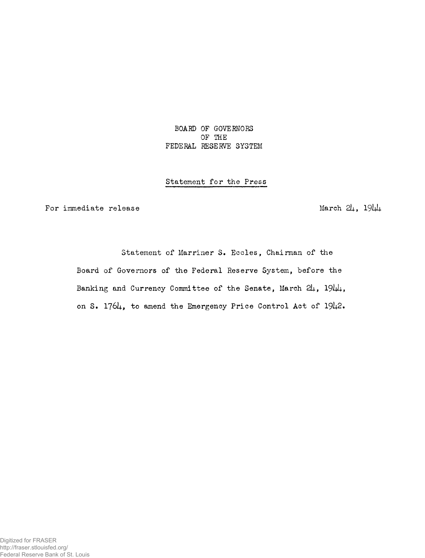BOARD OF GOVERNORS OF THE FEDERAL RESERVE SYSTEM

## Statement for the Press

For immediate release  $\frac{1}{19}\sqrt{\frac{1}{19}}$ 

Statement of Marriner S. Eccles, Chairman of the Board of Governors of the Federal Reserve System, before the Banking and Currency Committee of the Senate, March  $2\mu$ ,  $19\mu$ , on S. 176U, to amend the Emergency Price Control Act of 19U2.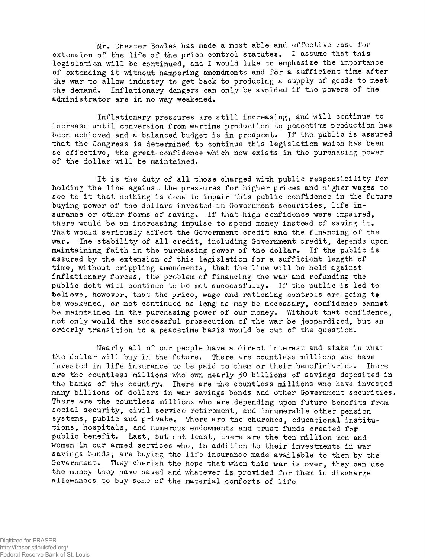Mr. Chester Bowles has made a most able and effective case for extension of the life of the price control statutes, I assume that this legislation will be continued, and I would like to emphasize the importance of extending it without hampering amendments and for a sufficient time after the war to allow industry to get back to producing a supply of goods to meet the demand. Inflationary dangers can only be avoided if the powers of the administrator are in no way weakened.

Inflationary pressures are still increasing, and will continue to increase until conversion from wartime production to peacetime production has been achieved and a balanced budget is in prospect. If the public is assured that the Congress is determined to continue this legislation which has been so effective, the great confidence which now exists in the purchasing power of the dollar will be maintained.

It is the duty of all those charged with public responsibility for holding the line against the pressures for higher prices and higher wages to see to it that nothing is done to impair this public confidence in the future buying power of the dollars invested in Government securities, life insurance or other forms of saving. If that high confidence were impaired, there would be em increasing impulse to spend money instead of saving it. That would seriously affect the Government credit and the financing of the war. The stability of all credit, including Government credit, depends upon maintaining faith in the purchasing power of the dollar. If the public is assured by the extension of this legislation for a sufficient length of time, without crippling amendments, that the line will be held against inflationary forces, the problem of financing the war and refunding the public debt will continue to be met successfully. If the public is led to believe, however, that the price, wage and rationing controls are going to be weakened, or not continued as long as may be necessary, confidence cannot be maintained in the purchasing power of our money. Without that confidence, not only would the successful prosecution of the war be jeopardized, but an orderly transition to a peacetime basis would be out of the question.

Nearly all of our people have a direct interest and stake in what the dollar will buy in the future. There are countless millions who have invested in life insurance to be paid to them or their beneficiaries. There are the countless millions who own nearly 30 billions of savings deposited in the banks of the country. There are the countless millions who have invested many billions of dollars in war savings bonds and other Government securities. There are the countless millions who are depending upon future benefits from social security, civil service retirement, and innumerable other pension systems, public and private. There are the churches, educational institutions, hospitals, and numerous endowments and trust funds created for public benefit. Last, but not least, there are the ten million men and women in our armed services who, in addition to their investments in war savings bonds, are buying the life insurance made available to them by the Government. They cherish the hope that when this war is over, they can use the money they have saved and whatever is provided for them in discharge allowances to buy some of the material comforts of life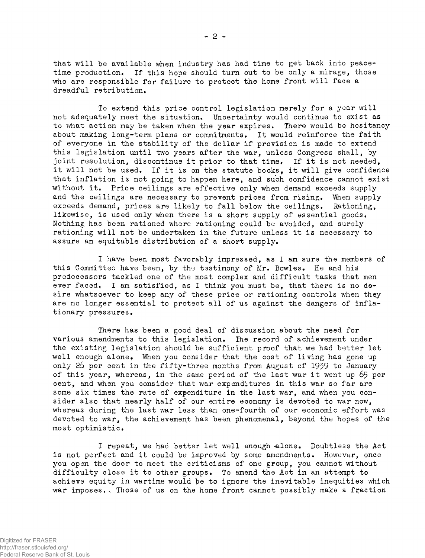that will be available when industry has had time to get back into peacetime production, If this hope should turn out to be only a mirage, those who are responsible for failure to protect the home front will face a dreadful retribution.

To extend this price control legislation merely for a year will not adequately meet the situation. Uncertainty would continue to exist as to what action may be taken when the year expires. There would be hesitancy about making long-term plans or commitments. It would reinforce the faith of everyone in the stability of the dollar if provision is made to extend this legislation until two years after the war, unless Congress shall, by joint resolution, discontinue it prior to that time. If it is not needed, it will not be used. If it is on the statute books, it will give confidence that inflation is not going to happen here, and such confidence cannot exist without it. Price ceilings are effective only when demand exceeds supply and the ceilings are necessary to prevent prices from rising. When supply exceeds demand, prices are likely to fall below the ceilings. Rationing, likewise, is used only when there is a short supply of essential goods. Nothing has been rationed where rationing could be avoided, and surely rationing will not be undertaken in the future unless it is necessary to assure an equitable distribution of a short supply.

I have been most favorably impressed, as I am sure the members of this Committee have been, by the testimony of Mr. Bowles. He and his predecessors tackled one of the most complex and difficult tasks that men ever faced. I am satisfied, as I think you must be, that there is no desire whatsoever to keep any of these price or rationing controls when they are no longer essential to protect all of us against the dangers of inflationary pressures.

There has been a good deal of discussion about the need for various amendments to this legislation. The record of achievement under the existing legislation should be sufficient proof that we had better let well enough alone. When you consider that the cost of living has gone up only 26 per cent in the fifty-three months from August of 1939 to January of this year, whereas, in the same period of the last war it went up 65 per cent, and when you consider that war expenditures in this war so far are some six times the rate of expenditure in the last war, and when you consider also that nearly half of our entire economy is devoted to war now, whereas during the last war less than one-fourth of our economic effort was devoted to war, the achievement has been phenomenal, beyond the hopes of the most optimistic.

I repeat, we had better let well enough alone. Doubtless the Act is not perfect and it could be improved by some amendments. However, once you open the door to meet the criticisms of one group, you cannot without difficulty close it to other groups. To amend the Act in an attempt to achieve equity in wartime would be to ignore the inevitable inequities which war imposes. Those of us on the home front cannot possibly make a fraction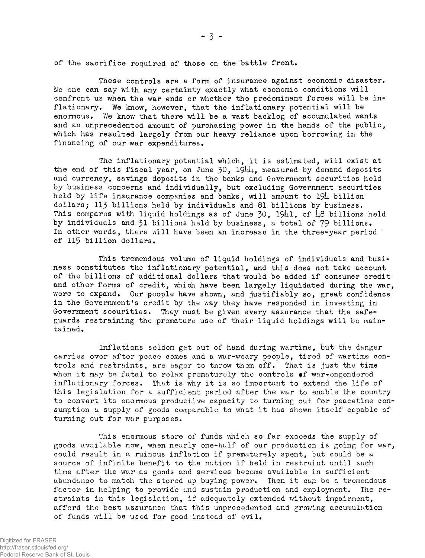of the sacrifice required of those on the battle front.

These controls are a form of insurance against economic disaster. No one can say with any certainty exactly what economic conditions will confront us when the war ends or whether the predominant forces will be inflationary. We know, however, that the inflationary potential will be enormous. We know that there will be a vast backlog of accumulated wants and an unprecedented amount of purchasing power in the hands of the public, which has resulted largely from our heavy reliance upon borrowing in the financing of our war expenditures.

The inflationary potential which, it is estimated, will exist at the end of this fiscal year, on June 30,  $194\mu$ , measured by demand deposits and currency, savings deposits in the banks and Government securities held by business concerns and individually, but excluding Government securities held by life insurance companies and banks, will amount to 194 billion dollars; 113 billions held by individuals and 81 billions by business. This compares with liquid holdings as of June 30,  $19\mu$ 1, of  $\mu$ 8 billions held by individuals and 31 billions held by business, a total of 79 billions. In other words, there will have been an increase in the three-year period of 115 billion dollars.

This tremendous volume of liquid holdings of individuals and business constitutes the inflationary potential, and this does not take account of the billions of additional dollars that would be added if consumer credit and other forms of credit, which have been largely liquidated during the war, were to expand. Our people have shown, and justifiably so, great confidence in the Government's credit by the way they have responded in investing in Government securities» They must be given every assurance that the safeguards restraining the premature use of their liquid holdings will be maintained.

Inflations seldom get out of hand during wartime, but the danger carries over after peace comes and a war-weary people, tired of wartime controls and restraints, are eager to throw them off. That is just the time when it may be fatal to relax prematurely the controls of war-engendered inflationary forces. That is why it is so important to extend the life of this legislation for a sufficient period after the war to enable the country to convert its enormous productive capacity to turning out for peacetime consumption a supply of goods comparable to what it has shown itself capable of turning out for war purposes.

This enormous store of funds which so far exceeds the supply of goods available now, when nearly one-half of our production is going for war, could result in a ruinous inflation if prematurely spent, but could be a source of infinite benefit to the nation if held in restraint until such time after the war as goods and services become available in sufficient abundance to match the stored up buying power. Then it can be a tremendous factor in helping to provide and sustain production and employment. The restraints in this legislation, if adequately extended without impairment, afford the best assurance that this unprecedented and growing accumulation of funds will be used for good instead of evil.